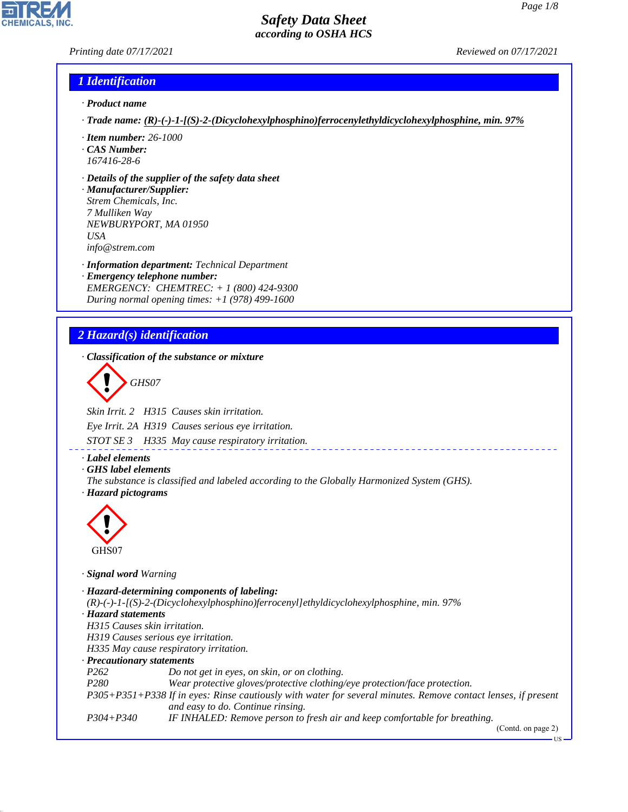#### *Printing date 07/17/2021 Reviewed on 07/17/2021*

#### *1 Identification*

- *· Product name*
- *· Trade name: (R)-(-)-1-[(S)-2-(Dicyclohexylphosphino)ferrocenylethyldicyclohexylphosphine, min. 97%*
- *· Item number: 26-1000*
- *· CAS Number: 167416-28-6*
- *· Details of the supplier of the safety data sheet*

*· Manufacturer/Supplier: Strem Chemicals, Inc. 7 Mulliken Way NEWBURYPORT, MA 01950 USA info@strem.com*

*· Information department: Technical Department · Emergency telephone number: EMERGENCY: CHEMTREC: + 1 (800) 424-9300 During normal opening times: +1 (978) 499-1600*

# *2 Hazard(s) identification*

*· Classification of the substance or mixture*

d~*GHS07*

*Skin Irrit. 2 H315 Causes skin irritation.*

*Eye Irrit. 2A H319 Causes serious eye irritation.*

*STOT SE 3 H335 May cause respiratory irritation.*

*· Label elements*

*· GHS label elements*

*The substance is classified and labeled according to the Globally Harmonized System (GHS). · Hazard pictograms*



44.1.1

*· Signal word Warning*

*· Hazard-determining components of labeling: (R)-(-)-1-[(S)-2-(Dicyclohexylphosphino)ferrocenyl]ethyldicyclohexylphosphine, min. 97% · Hazard statements H315 Causes skin irritation. H319 Causes serious eye irritation. H335 May cause respiratory irritation. · Precautionary statements P262 Do not get in eyes, on skin, or on clothing. P280 Wear protective gloves/protective clothing/eye protection/face protection. P305+P351+P338 If in eyes: Rinse cautiously with water for several minutes. Remove contact lenses, if present and easy to do. Continue rinsing. P304+P340 IF INHALED: Remove person to fresh air and keep comfortable for breathing.* (Contd. on page 2)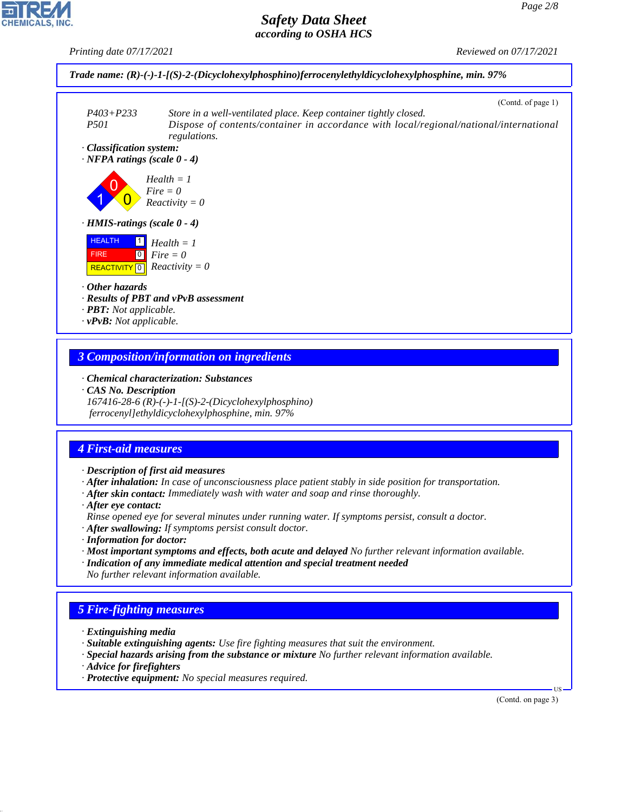*Printing date 07/17/2021 Reviewed on 07/17/2021*



## *3 Composition/information on ingredients*

- *· Chemical characterization: Substances*
- *· CAS No. Description*

*167416-28-6 (R)-(-)-1-[(S)-2-(Dicyclohexylphosphino) ferrocenyl]ethyldicyclohexylphosphine, min. 97%*

# *4 First-aid measures*

- *· Description of first aid measures*
- *· After inhalation: In case of unconsciousness place patient stably in side position for transportation.*
- *· After skin contact: Immediately wash with water and soap and rinse thoroughly.*
- *· After eye contact:*
- *Rinse opened eye for several minutes under running water. If symptoms persist, consult a doctor.*
- *· After swallowing: If symptoms persist consult doctor.*
- *· Information for doctor:*
- *· Most important symptoms and effects, both acute and delayed No further relevant information available.*
- *· Indication of any immediate medical attention and special treatment needed No further relevant information available.*

# *5 Fire-fighting measures*

- *· Extinguishing media*
- *· Suitable extinguishing agents: Use fire fighting measures that suit the environment.*
- *· Special hazards arising from the substance or mixture No further relevant information available.*
- *· Advice for firefighters*

44.1.1

*· Protective equipment: No special measures required.*

(Contd. on page 3)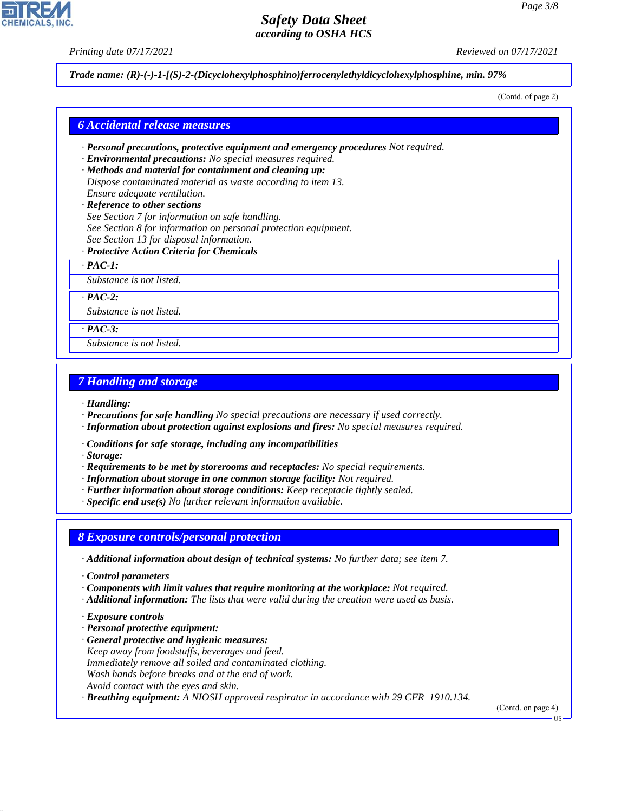*Printing date 07/17/2021 Reviewed on 07/17/2021*

*Trade name: (R)-(-)-1-[(S)-2-(Dicyclohexylphosphino)ferrocenylethyldicyclohexylphosphine, min. 97%*

(Contd. of page 2)

#### *6 Accidental release measures*

- *· Personal precautions, protective equipment and emergency procedures Not required.*
- *· Environmental precautions: No special measures required.*
- *· Methods and material for containment and cleaning up: Dispose contaminated material as waste according to item 13. Ensure adequate ventilation.*
- *· Reference to other sections See Section 7 for information on safe handling. See Section 8 for information on personal protection equipment. See Section 13 for disposal information.*
- *· Protective Action Criteria for Chemicals*

*· PAC-1:*

*Substance is not listed.*

*· PAC-2:*

*Substance is not listed.*

*· PAC-3:*

*Substance is not listed.*

### *7 Handling and storage*

*· Handling:*

- *· Precautions for safe handling No special precautions are necessary if used correctly.*
- *· Information about protection against explosions and fires: No special measures required.*
- *· Conditions for safe storage, including any incompatibilities*

*· Storage:*

- *· Requirements to be met by storerooms and receptacles: No special requirements.*
- *· Information about storage in one common storage facility: Not required.*
- *· Further information about storage conditions: Keep receptacle tightly sealed.*
- *· Specific end use(s) No further relevant information available.*

#### *8 Exposure controls/personal protection*

- *· Additional information about design of technical systems: No further data; see item 7.*
- *· Control parameters*
- *· Components with limit values that require monitoring at the workplace: Not required.*
- *· Additional information: The lists that were valid during the creation were used as basis.*
- *· Exposure controls*

44.1.1

- *· Personal protective equipment:*
- *· General protective and hygienic measures: Keep away from foodstuffs, beverages and feed. Immediately remove all soiled and contaminated clothing. Wash hands before breaks and at the end of work. Avoid contact with the eyes and skin.*
- *· Breathing equipment: A NIOSH approved respirator in accordance with 29 CFR 1910.134.*

(Contd. on page 4)



US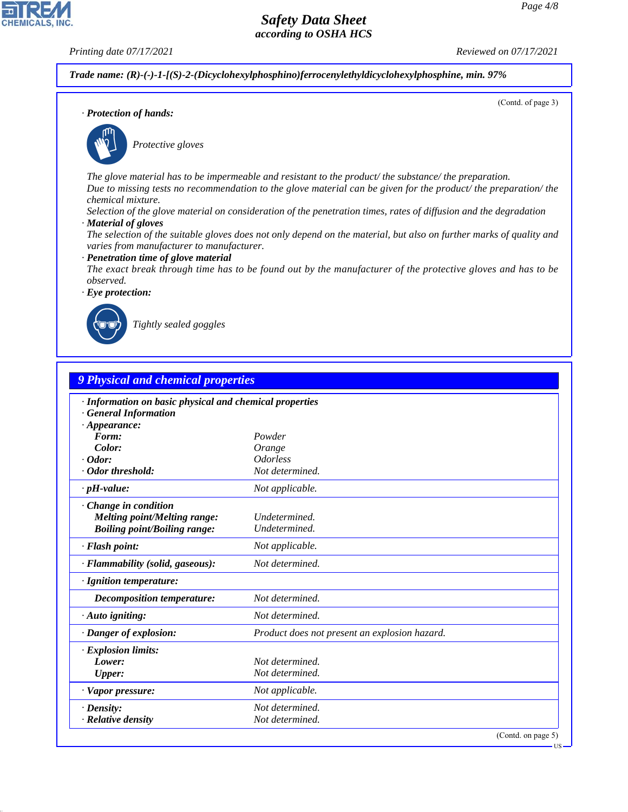(Contd. of page 3)

# *Safety Data Sheet according to OSHA HCS*

**CHEMICALS, INC** 

*Printing date 07/17/2021 Reviewed on 07/17/2021*

*Trade name: (R)-(-)-1-[(S)-2-(Dicyclohexylphosphino)ferrocenylethyldicyclohexylphosphine, min. 97%*

*· Protection of hands:*



\_S*Protective gloves*

*The glove material has to be impermeable and resistant to the product/ the substance/ the preparation. Due to missing tests no recommendation to the glove material can be given for the product/ the preparation/ the chemical mixture.*

*Selection of the glove material on consideration of the penetration times, rates of diffusion and the degradation*

*· Material of gloves*

*The selection of the suitable gloves does not only depend on the material, but also on further marks of quality and varies from manufacturer to manufacturer.*

*· Penetration time of glove material*

*The exact break through time has to be found out by the manufacturer of the protective gloves and has to be observed.*

*· Eye protection:*



44.1.1

\_R*Tightly sealed goggles*

| · Information on basic physical and chemical properties<br><b>General Information</b><br>$\cdot$ Appearance:<br>Form:<br>Powder<br>Color:<br>Orange<br><i><b>Odorless</b></i><br>$\cdot$ Odor:<br>· Odor threshold:<br>Not determined.<br>$\cdot$ pH-value:<br>Not applicable.<br>Change in condition<br><b>Melting point/Melting range:</b><br>Undetermined.<br><b>Boiling point/Boiling range:</b><br>Undetermined.<br>· Flash point:<br>Not applicable.<br>Not determined.<br>· Flammability (solid, gaseous):<br>· Ignition temperature:<br>Not determined.<br><b>Decomposition temperature:</b><br>Not determined.<br>$\cdot$ Auto igniting:<br>· Danger of explosion:<br>Product does not present an explosion hazard.<br><b>Explosion limits:</b><br>Lower:<br>Not determined.<br>Not determined.<br>Upper: |  |
|--------------------------------------------------------------------------------------------------------------------------------------------------------------------------------------------------------------------------------------------------------------------------------------------------------------------------------------------------------------------------------------------------------------------------------------------------------------------------------------------------------------------------------------------------------------------------------------------------------------------------------------------------------------------------------------------------------------------------------------------------------------------------------------------------------------------|--|
|                                                                                                                                                                                                                                                                                                                                                                                                                                                                                                                                                                                                                                                                                                                                                                                                                    |  |
|                                                                                                                                                                                                                                                                                                                                                                                                                                                                                                                                                                                                                                                                                                                                                                                                                    |  |
|                                                                                                                                                                                                                                                                                                                                                                                                                                                                                                                                                                                                                                                                                                                                                                                                                    |  |
|                                                                                                                                                                                                                                                                                                                                                                                                                                                                                                                                                                                                                                                                                                                                                                                                                    |  |
|                                                                                                                                                                                                                                                                                                                                                                                                                                                                                                                                                                                                                                                                                                                                                                                                                    |  |
|                                                                                                                                                                                                                                                                                                                                                                                                                                                                                                                                                                                                                                                                                                                                                                                                                    |  |
|                                                                                                                                                                                                                                                                                                                                                                                                                                                                                                                                                                                                                                                                                                                                                                                                                    |  |
|                                                                                                                                                                                                                                                                                                                                                                                                                                                                                                                                                                                                                                                                                                                                                                                                                    |  |
|                                                                                                                                                                                                                                                                                                                                                                                                                                                                                                                                                                                                                                                                                                                                                                                                                    |  |
|                                                                                                                                                                                                                                                                                                                                                                                                                                                                                                                                                                                                                                                                                                                                                                                                                    |  |
|                                                                                                                                                                                                                                                                                                                                                                                                                                                                                                                                                                                                                                                                                                                                                                                                                    |  |
|                                                                                                                                                                                                                                                                                                                                                                                                                                                                                                                                                                                                                                                                                                                                                                                                                    |  |
|                                                                                                                                                                                                                                                                                                                                                                                                                                                                                                                                                                                                                                                                                                                                                                                                                    |  |
|                                                                                                                                                                                                                                                                                                                                                                                                                                                                                                                                                                                                                                                                                                                                                                                                                    |  |
|                                                                                                                                                                                                                                                                                                                                                                                                                                                                                                                                                                                                                                                                                                                                                                                                                    |  |
|                                                                                                                                                                                                                                                                                                                                                                                                                                                                                                                                                                                                                                                                                                                                                                                                                    |  |
|                                                                                                                                                                                                                                                                                                                                                                                                                                                                                                                                                                                                                                                                                                                                                                                                                    |  |
| · Vapor pressure:<br>Not applicable.                                                                                                                                                                                                                                                                                                                                                                                                                                                                                                                                                                                                                                                                                                                                                                               |  |
| Not determined.<br>$\cdot$ Density:                                                                                                                                                                                                                                                                                                                                                                                                                                                                                                                                                                                                                                                                                                                                                                                |  |
| · Relative density<br>Not determined.                                                                                                                                                                                                                                                                                                                                                                                                                                                                                                                                                                                                                                                                                                                                                                              |  |

**IIS**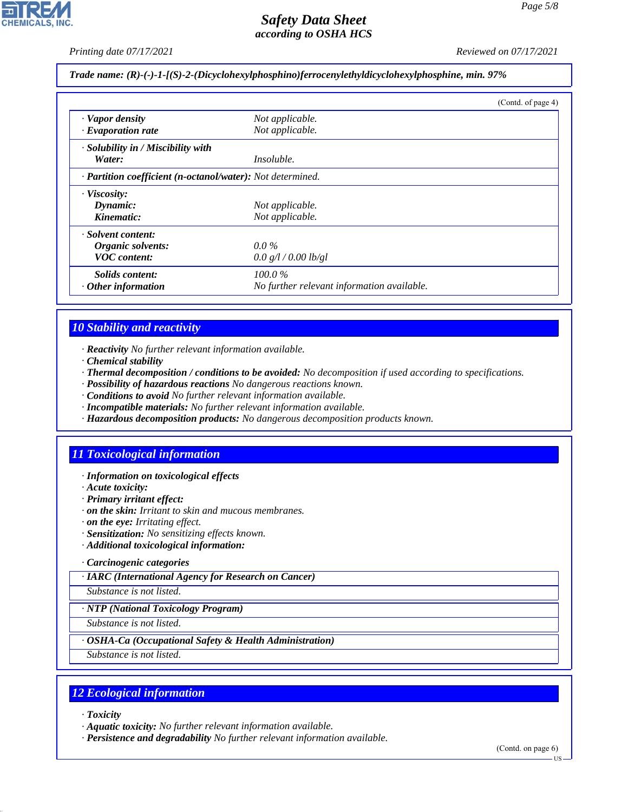*Printing date 07/17/2021 Reviewed on 07/17/2021*

*Trade name: (R)-(-)-1-[(S)-2-(Dicyclohexylphosphino)ferrocenylethyldicyclohexylphosphine, min. 97%*

|                                                            |                                            | (Contd. of page 4) |
|------------------------------------------------------------|--------------------------------------------|--------------------|
| · Vapor density                                            | Not applicable.                            |                    |
| $\cdot$ Evaporation rate                                   | Not applicable.                            |                    |
| · Solubility in / Miscibility with                         |                                            |                    |
| Water:                                                     | <i>Insoluble.</i>                          |                    |
| · Partition coefficient (n-octanol/water): Not determined. |                                            |                    |
| · Viscosity:                                               |                                            |                    |
| Dynamic:                                                   | Not applicable.                            |                    |
| Kinematic:                                                 | Not applicable.                            |                    |
| · Solvent content:                                         |                                            |                    |
| Organic solvents:                                          | $0.0\%$                                    |                    |
| <b>VOC</b> content:                                        | 0.0 g/l / 0.00 lb/gl                       |                    |
| <i>Solids content:</i>                                     | $100.0\%$                                  |                    |
| $\cdot$ Other information                                  | No further relevant information available. |                    |

## *10 Stability and reactivity*

- *· Reactivity No further relevant information available.*
- *· Chemical stability*
- *· Thermal decomposition / conditions to be avoided: No decomposition if used according to specifications.*
- *· Possibility of hazardous reactions No dangerous reactions known.*
- *· Conditions to avoid No further relevant information available.*
- *· Incompatible materials: No further relevant information available.*
- *· Hazardous decomposition products: No dangerous decomposition products known.*

## *11 Toxicological information*

- *· Information on toxicological effects*
- *· Acute toxicity:*
- *· Primary irritant effect:*
- *· on the skin: Irritant to skin and mucous membranes.*
- *· on the eye: Irritating effect.*
- *· Sensitization: No sensitizing effects known.*
- *· Additional toxicological information:*

#### *· Carcinogenic categories*

*· IARC (International Agency for Research on Cancer)*

*Substance is not listed.*

#### *· NTP (National Toxicology Program)*

*Substance is not listed.*

#### *· OSHA-Ca (Occupational Safety & Health Administration)*

*Substance is not listed.*

### *12 Ecological information*

*· Toxicity*

44.1.1

- *· Aquatic toxicity: No further relevant information available.*
- *· Persistence and degradability No further relevant information available.*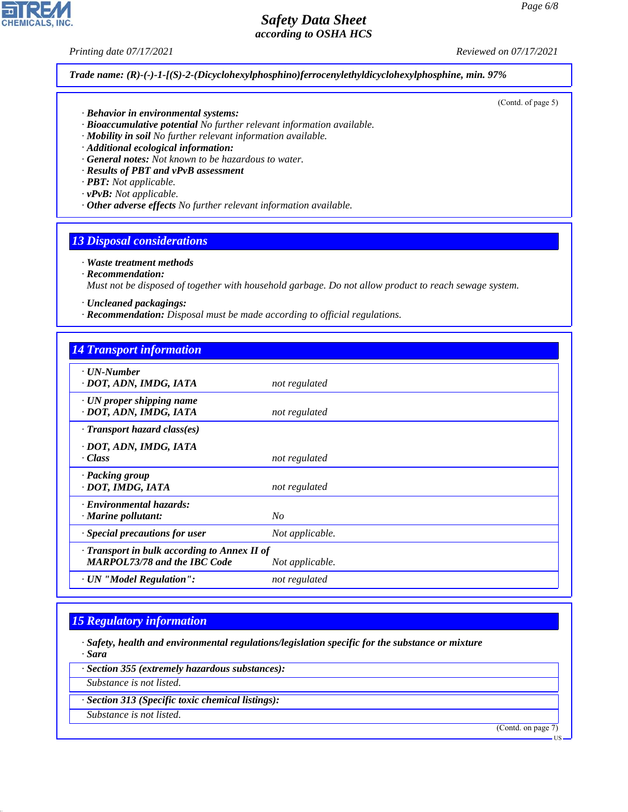**CHEMICALS, INC** 

*Printing date 07/17/2021 Reviewed on 07/17/2021*

(Contd. of page 5)

*Trade name: (R)-(-)-1-[(S)-2-(Dicyclohexylphosphino)ferrocenylethyldicyclohexylphosphine, min. 97%*

- *· Behavior in environmental systems:*
- *· Bioaccumulative potential No further relevant information available.*
- *· Mobility in soil No further relevant information available.*
- *· Additional ecological information:*
- *· General notes: Not known to be hazardous to water.*
- *· Results of PBT and vPvB assessment*
- *· PBT: Not applicable.*
- *· vPvB: Not applicable.*
- *· Other adverse effects No further relevant information available.*

#### *13 Disposal considerations*

#### *· Waste treatment methods*

*· Recommendation:*

*Must not be disposed of together with household garbage. Do not allow product to reach sewage system.*

- *· Uncleaned packagings:*
- *· Recommendation: Disposal must be made according to official regulations.*

| <b>14 Transport information</b>                                                     |                 |
|-------------------------------------------------------------------------------------|-----------------|
| $\cdot$ UN-Number<br>· DOT, ADN, IMDG, IATA                                         | not regulated   |
| $\cdot$ UN proper shipping name<br>· DOT, ADN, IMDG, IATA                           | not regulated   |
| $\cdot$ Transport hazard class(es)                                                  |                 |
| · DOT, ADN, IMDG, IATA<br>· Class                                                   | not regulated   |
| · Packing group<br>· DOT, IMDG, IATA                                                | not regulated   |
| · Environmental hazards:<br>$\cdot$ Marine pollutant:                               | No              |
| Special precautions for user                                                        | Not applicable. |
| · Transport in bulk according to Annex II of<br><b>MARPOL73/78 and the IBC Code</b> | Not applicable. |
| · UN "Model Regulation":                                                            | not regulated   |

#### *15 Regulatory information*

- *· Safety, health and environmental regulations/legislation specific for the substance or mixture · Sara*
- *· Section 355 (extremely hazardous substances):*
- *Substance is not listed.*
- *· Section 313 (Specific toxic chemical listings):*
- *Substance is not listed.*

44.1.1

(Contd. on page 7)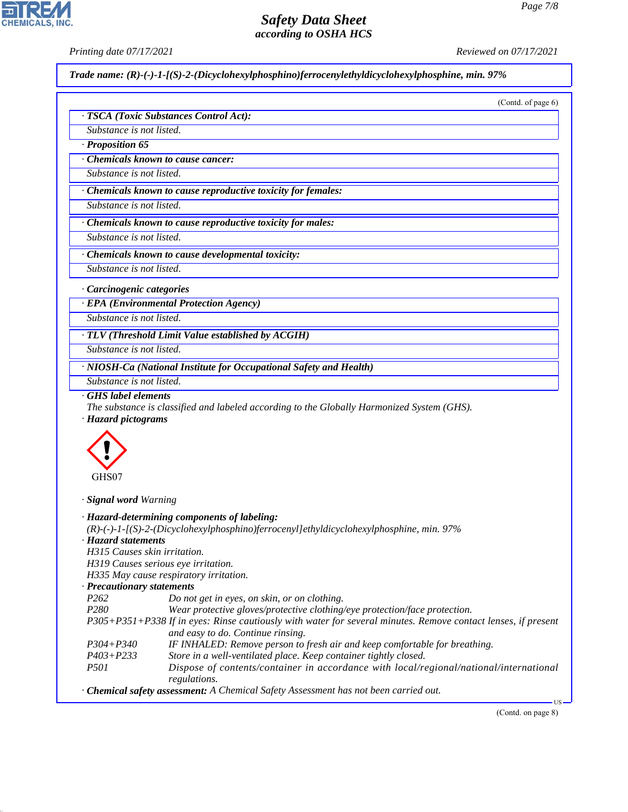*Printing date 07/17/2021 Reviewed on 07/17/2021*

*Trade name: (R)-(-)-1-[(S)-2-(Dicyclohexylphosphino)ferrocenylethyldicyclohexylphosphine, min. 97%*

| Substance is not listed.<br>Proposition 65<br>Chemicals known to cause cancer:<br>Substance is not listed. | · TSCA (Toxic Substances Control Act):                                                                                                             |
|------------------------------------------------------------------------------------------------------------|----------------------------------------------------------------------------------------------------------------------------------------------------|
|                                                                                                            |                                                                                                                                                    |
|                                                                                                            |                                                                                                                                                    |
|                                                                                                            |                                                                                                                                                    |
|                                                                                                            |                                                                                                                                                    |
|                                                                                                            |                                                                                                                                                    |
|                                                                                                            | · Chemicals known to cause reproductive toxicity for females:                                                                                      |
| Substance is not listed.                                                                                   |                                                                                                                                                    |
|                                                                                                            | Chemicals known to cause reproductive toxicity for males:                                                                                          |
| Substance is not listed.                                                                                   |                                                                                                                                                    |
|                                                                                                            | Chemicals known to cause developmental toxicity:                                                                                                   |
| Substance is not listed.                                                                                   |                                                                                                                                                    |
| · Carcinogenic categories                                                                                  |                                                                                                                                                    |
|                                                                                                            | · EPA (Environmental Protection Agency)                                                                                                            |
| Substance is not listed.                                                                                   |                                                                                                                                                    |
|                                                                                                            | $\cdot$ TLV (Threshold Limit Value established by ACGIH)                                                                                           |
| Substance is not listed.                                                                                   |                                                                                                                                                    |
|                                                                                                            | · NIOSH-Ca (National Institute for Occupational Safety and Health)                                                                                 |
|                                                                                                            |                                                                                                                                                    |
| Substance is not listed.<br>GHS label elements<br>· Hazard pictograms                                      | The substance is classified and labeled according to the Globally Harmonized System (GHS).                                                         |
|                                                                                                            |                                                                                                                                                    |
| GHS07                                                                                                      |                                                                                                                                                    |
|                                                                                                            |                                                                                                                                                    |
|                                                                                                            | · Hazard-determining components of labeling:                                                                                                       |
|                                                                                                            | $(R)$ -(-)-1-[(S)-2-(Dicyclohexylphosphino)ferrocenyl]ethyldicyclohexylphosphine, min. 97%                                                         |
|                                                                                                            |                                                                                                                                                    |
| H315 Causes skin irritation.                                                                               |                                                                                                                                                    |
| H319 Causes serious eye irritation.                                                                        |                                                                                                                                                    |
|                                                                                                            | H335 May cause respiratory irritation.                                                                                                             |
| P <sub>262</sub>                                                                                           | Do not get in eyes, on skin, or on clothing.                                                                                                       |
| P280                                                                                                       | Wear protective gloves/protective clothing/eye protection/face protection.                                                                         |
|                                                                                                            |                                                                                                                                                    |
| · Signal word Warning<br>· Hazard statements<br>· Precautionary statements                                 | P305+P351+P338 If in eyes: Rinse cautiously with water for several minutes. Remove contact lenses, if present<br>and easy to do. Continue rinsing. |
| P304+P340                                                                                                  | IF INHALED: Remove person to fresh air and keep comfortable for breathing.                                                                         |
| P403+P233<br>P501                                                                                          | Store in a well-ventilated place. Keep container tightly closed.                                                                                   |
|                                                                                                            | Dispose of contents/container in accordance with local/regional/national/international<br>regulations.                                             |



44.1.1